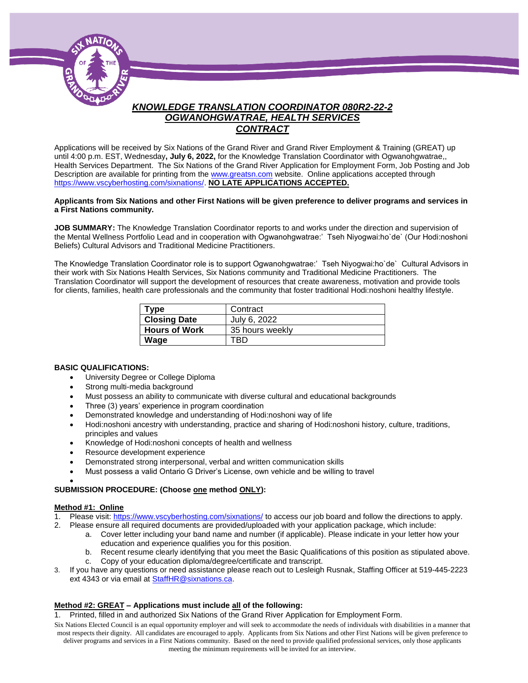

# *KNOWLEDGE TRANSLATION COORDINATOR 080R2-22-2 OGWANOHGWATRAE, HEALTH SERVICES CONTRACT*

Applications will be received by Six Nations of the Grand River and Grand River Employment & Training (GREAT) up until 4:00 p.m. EST, Wednesday**, July 6, 2022,** for the Knowledge Translation Coordinator with Ogwanohgwatrae,, Health Services Department. The Six Nations of the Grand River Application for Employment Form, Job Posting and Job Description are available for printing from th[e www.greatsn.com](http://www.greatsn.com/) website. Online applications accepted through [https://www.vscyberhosting.com/sixnations/.](https://www.vscyberhosting.com/sixnations/) **NO LATE APPLICATIONS ACCEPTED.**

#### **Applicants from Six Nations and other First Nations will be given preference to deliver programs and services in a First Nations community.**

**JOB SUMMARY:** The Knowledge Translation Coordinator reports to and works under the direction and supervision of the Mental Wellness Portfolio Lead and in cooperation with Ogwanohgwatrae:' Tseh Niyogwai:ho`de` (Our Hodi:noshoni Beliefs) Cultural Advisors and Traditional Medicine Practitioners.

The Knowledge Translation Coordinator role is to support Ogwanohgwatrae:' Tseh Niyogwai:ho`de` Cultural Advisors in their work with Six Nations Health Services, Six Nations community and Traditional Medicine Practitioners. The Translation Coordinator will support the development of resources that create awareness, motivation and provide tools for clients, families, health care professionals and the community that foster traditional Hodi:noshoni healthy lifestyle.

| Type                 | Contract        |
|----------------------|-----------------|
| <b>Closing Date</b>  | July 6, 2022    |
| <b>Hours of Work</b> | 35 hours weekly |
| Wage                 | TRD             |

#### **BASIC QUALIFICATIONS:**

- University Degree or College Diploma
- Strong multi-media background
- Must possess an ability to communicate with diverse cultural and educational backgrounds
- Three (3) years' experience in program coordination
- Demonstrated knowledge and understanding of Hodi:noshoni way of life
- Hodi:noshoni ancestry with understanding, practice and sharing of Hodi:noshoni history, culture, traditions, principles and values
- Knowledge of Hodi:noshoni concepts of health and wellness
- Resource development experience
- Demonstrated strong interpersonal, verbal and written communication skills
- Must possess a valid Ontario G Driver's License, own vehicle and be willing to travel

#### $\bullet$ **SUBMISSION PROCEDURE: (Choose one method ONLY):**

#### **Method #1: Online**

- 1. Please visit[: https://www.vscyberhosting.com/sixnations/](https://www.vscyberhosting.com/sixnations/) to access our job board and follow the directions to apply.
- 2. Please ensure all required documents are provided/uploaded with your application package, which include:
	- a. Cover letter including your band name and number (if applicable). Please indicate in your letter how your education and experience qualifies you for this position.
	- b. Recent resume clearly identifying that you meet the Basic Qualifications of this position as stipulated above.
	- c. Copy of your education diploma/degree/certificate and transcript.
- 3. If you have any questions or need assistance please reach out to Lesleigh Rusnak, Staffing Officer at 519-445-2223 ext 4343 or via email at **StaffHR@sixnations.ca.**

### **Method #2: GREAT – Applications must include all of the following:**

- 1. Printed, filled in and authorized Six Nations of the Grand River Application for Employment Form.
- Six Nations Elected Council is an equal opportunity employer and will seek to accommodate the needs of individuals with disabilities in a manner that most respects their dignity. All candidates are encouraged to apply. Applicants from Six Nations and other First Nations will be given preference to deliver programs and services in a First Nations community. Based on the need to provide qualified professional services, only those applicants meeting the minimum requirements will be invited for an interview.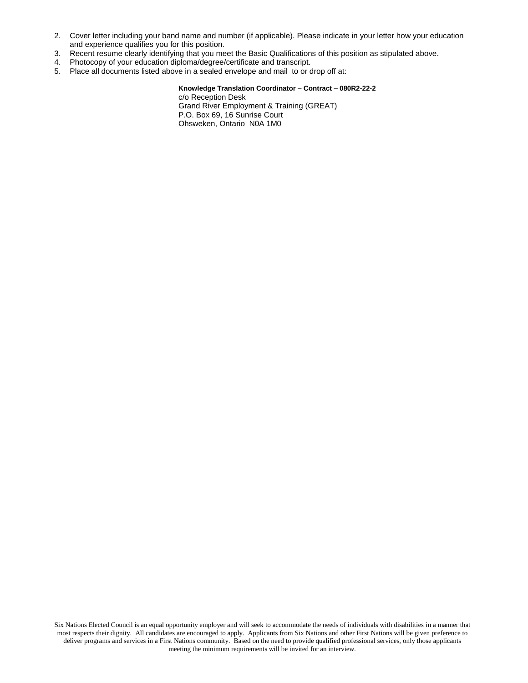- 2. Cover letter including your band name and number (if applicable). Please indicate in your letter how your education and experience qualifies you for this position.
- 3. Recent resume clearly identifying that you meet the Basic Qualifications of this position as stipulated above.
- 4. Photocopy of your education diploma/degree/certificate and transcript.
- 5. Place all documents listed above in a sealed envelope and mail to or drop off at:

**Knowledge Translation Coordinator – Contract – 080R2-22-2** c/o Reception Desk Grand River Employment & Training (GREAT) P.O. Box 69, 16 Sunrise Court Ohsweken, Ontario N0A 1M0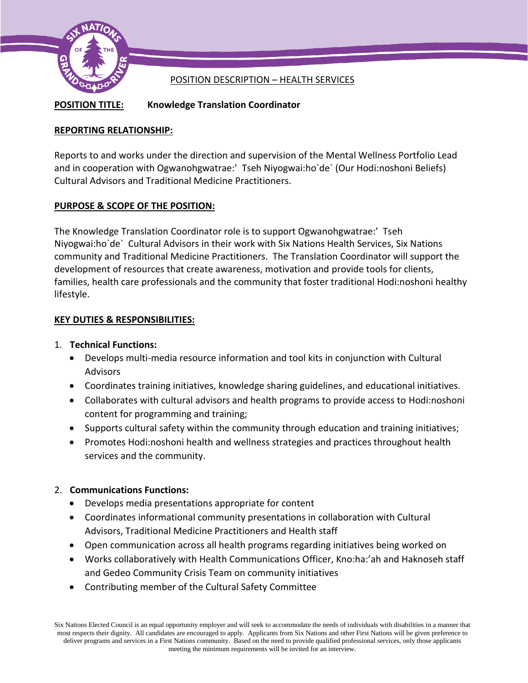

# POSITION DESCRIPTION – HEALTH SERVICES

**POSITION TITLE: Knowledge Translation Coordinator**

# **REPORTING RELATIONSHIP:**

Reports to and works under the direction and supervision of the Mental Wellness Portfolio Lead and in cooperation with Ogwanohgwatrae:' Tseh Niyogwai:ho`de` (Our Hodi:noshoni Beliefs) Cultural Advisors and Traditional Medicine Practitioners.

# **PURPOSE & SCOPE OF THE POSITION:**

The Knowledge Translation Coordinator role is to support Ogwanohgwatrae:' Tseh Niyogwai:ho`de` Cultural Advisors in their work with Six Nations Health Services, Six Nations community and Traditional Medicine Practitioners. The Translation Coordinator will support the development of resources that create awareness, motivation and provide tools for clients, families, health care professionals and the community that foster traditional Hodi:noshoni healthy lifestyle.

# **KEY DUTIES & RESPONSIBILITIES:**

## 1. **Technical Functions:**

- Develops multi-media resource information and tool kits in conjunction with Cultural Advisors
- Coordinates training initiatives, knowledge sharing guidelines, and educational initiatives.
- Collaborates with cultural advisors and health programs to provide access to Hodi:noshoni content for programming and training;
- Supports cultural safety within the community through education and training initiatives;
- Promotes Hodi:noshoni health and wellness strategies and practices throughout health services and the community.

# 2. **Communications Functions:**

- Develops media presentations appropriate for content
- Coordinates informational community presentations in collaboration with Cultural Advisors, Traditional Medicine Practitioners and Health staff
- Open communication across all health programs regarding initiatives being worked on
- Works collaboratively with Health Communications Officer, Kno:ha:'ah and Haknoseh staff and Gedeo Community Crisis Team on community initiatives
- Contributing member of the Cultural Safety Committee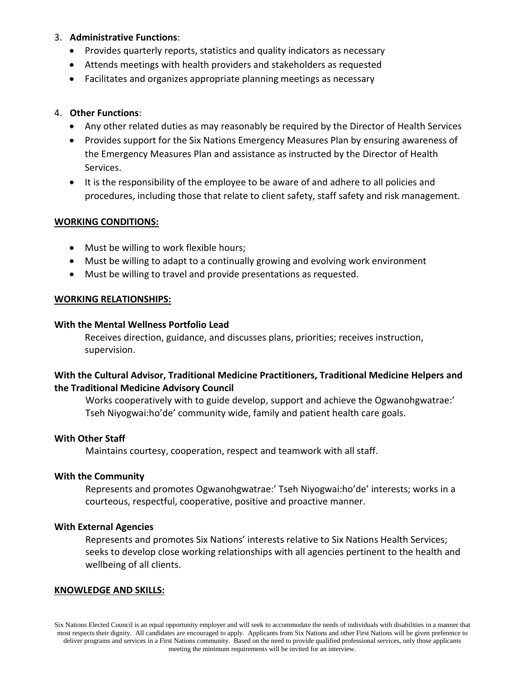## 3. **Administrative Functions**:

- Provides quarterly reports, statistics and quality indicators as necessary
- Attends meetings with health providers and stakeholders as requested
- Facilitates and organizes appropriate planning meetings as necessary

## 4. **Other Functions**:

- Any other related duties as may reasonably be required by the Director of Health Services
- Provides support for the Six Nations Emergency Measures Plan by ensuring awareness of the Emergency Measures Plan and assistance as instructed by the Director of Health Services.
- It is the responsibility of the employee to be aware of and adhere to all policies and procedures, including those that relate to client safety, staff safety and risk management.

## **WORKING CONDITIONS:**

- Must be willing to work flexible hours;
- Must be willing to adapt to a continually growing and evolving work environment
- Must be willing to travel and provide presentations as requested.

## **WORKING RELATIONSHIPS:**

### **With the Mental Wellness Portfolio Lead**

Receives direction, guidance, and discusses plans, priorities; receives instruction, supervision.

## **With the Cultural Advisor, Traditional Medicine Practitioners, Traditional Medicine Helpers and the Traditional Medicine Advisory Council**

Works cooperatively with to guide develop, support and achieve the Ogwanohgwatrae:' Tseh Niyogwai:ho'de' community wide, family and patient health care goals.

# **With Other Staff**

Maintains courtesy, cooperation, respect and teamwork with all staff.

## **With the Community**

Represents and promotes Ogwanohgwatrae:' Tseh Niyogwai:ho'de' interests; works in a courteous, respectful, cooperative, positive and proactive manner.

### **With External Agencies**

Represents and promotes Six Nations' interests relative to Six Nations Health Services; seeks to develop close working relationships with all agencies pertinent to the health and wellbeing of all clients.

### **KNOWLEDGE AND SKILLS:**

Six Nations Elected Council is an equal opportunity employer and will seek to accommodate the needs of individuals with disabilities in a manner that most respects their dignity. All candidates are encouraged to apply. Applicants from Six Nations and other First Nations will be given preference to deliver programs and services in a First Nations community. Based on the need to provide qualified professional services, only those applicants meeting the minimum requirements will be invited for an interview.